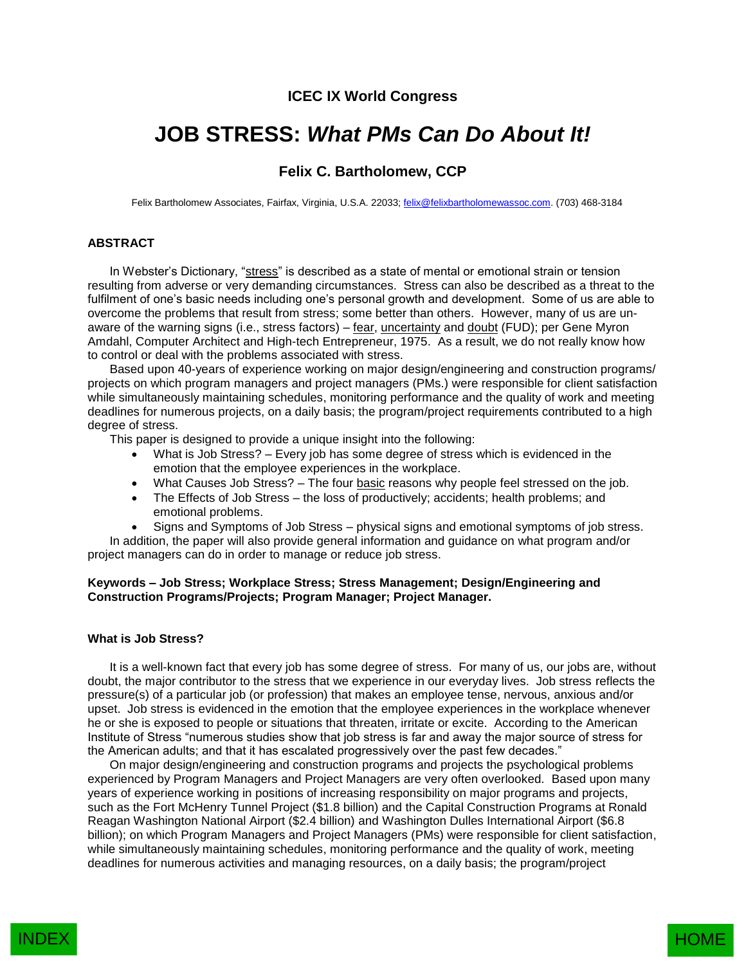## **ICEC IX World Congress**

# **JOB STRESS:** *What PMs Can Do About It!*

## **Felix C. Bartholomew, CCP**

Felix Bartholomew Associates, Fairfax, Virginia, U.S.A. 22033[; felix@felixbartholomewassoc.com.](mailto:felix@felixbartholomewassoc.com) (703) 468-3184

### **ABSTRACT**

In Webster's Dictionary, "stress" is described as a state of mental or emotional strain or tension resulting from adverse or very demanding circumstances. Stress can also be described as a threat to the fulfilment of one's basic needs including one's personal growth and development. Some of us are able to overcome the problems that result from stress; some better than others. However, many of us are unaware of the warning signs (i.e., stress factors) – fear, uncertainty and doubt (FUD); per Gene Myron Amdahl, Computer Architect and High-tech Entrepreneur, 1975. As a result, we do not really know how to control or deal with the problems associated with stress.

Based upon 40-years of experience working on major design/engineering and construction programs/ projects on which program managers and project managers (PMs.) were responsible for client satisfaction while simultaneously maintaining schedules, monitoring performance and the quality of work and meeting deadlines for numerous projects, on a daily basis; the program/project requirements contributed to a high degree of stress.

This paper is designed to provide a unique insight into the following:

- What is Job Stress? Every job has some degree of stress which is evidenced in the emotion that the employee experiences in the workplace.
- What Causes Job Stress? The four basic reasons why people feel stressed on the job.
- The Effects of Job Stress the loss of productively; accidents; health problems; and emotional problems.
- Signs and Symptoms of Job Stress physical signs and emotional symptoms of job stress.

In addition, the paper will also provide general information and guidance on what program and/or project managers can do in order to manage or reduce job stress.

#### **Keywords – Job Stress; Workplace Stress; Stress Management; Design/Engineering and Construction Programs/Projects; Program Manager; Project Manager.**

#### **What is Job Stress?**

It is a well-known fact that every job has some degree of stress. For many of us, our jobs are, without doubt, the major contributor to the stress that we experience in our everyday lives. Job stress reflects the pressure(s) of a particular job (or profession) that makes an employee tense, nervous, anxious and/or upset. Job stress is evidenced in the emotion that the employee experiences in the workplace whenever he or she is exposed to people or situations that threaten, irritate or excite. According to the American Institute of Stress "numerous studies show that job stress is far and away the major source of stress for the American adults; and that it has escalated progressively over the past few decades."

On major design/engineering and construction programs and projects the psychological problems experienced by Program Managers and Project Managers are very often overlooked. Based upon many years of experience working in positions of increasing responsibility on major programs and projects, such as the Fort McHenry Tunnel Project (\$1.8 billion) and the Capital Construction Programs at Ronald Reagan Washington National Airport (\$2.4 billion) and Washington Dulles International Airport (\$6.8 billion); on which Program Managers and Project Managers (PMs) were responsible for client satisfaction, while simultaneously maintaining schedules, monitoring performance and the quality of work, meeting deadlines for numerous activities and managing resources, on a daily basis; the program/project

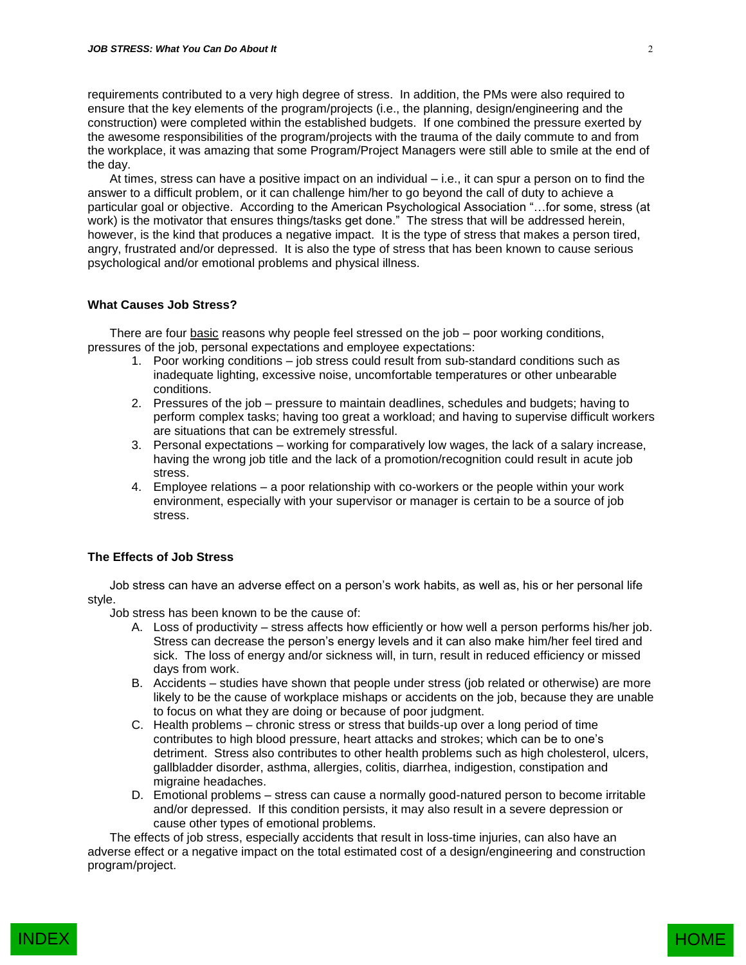requirements contributed to a very high degree of stress. In addition, the PMs were also required to ensure that the key elements of the program/projects (i.e., the planning, design/engineering and the construction) were completed within the established budgets. If one combined the pressure exerted by the awesome responsibilities of the program/projects with the trauma of the daily commute to and from the workplace, it was amazing that some Program/Project Managers were still able to smile at the end of the day.

At times, stress can have a positive impact on an individual – i.e., it can spur a person on to find the answer to a difficult problem, or it can challenge him/her to go beyond the call of duty to achieve a particular goal or objective. According to the American Psychological Association "…for some, stress (at work) is the motivator that ensures things/tasks get done." The stress that will be addressed herein, however, is the kind that produces a negative impact. It is the type of stress that makes a person tired, angry, frustrated and/or depressed. It is also the type of stress that has been known to cause serious psychological and/or emotional problems and physical illness.

#### **What Causes Job Stress?**

There are four basic reasons why people feel stressed on the job – poor working conditions, pressures of the job, personal expectations and employee expectations:

- 1. Poor working conditions job stress could result from sub-standard conditions such as inadequate lighting, excessive noise, uncomfortable temperatures or other unbearable conditions.
- 2. Pressures of the job pressure to maintain deadlines, schedules and budgets; having to perform complex tasks; having too great a workload; and having to supervise difficult workers are situations that can be extremely stressful.
- 3. Personal expectations working for comparatively low wages, the lack of a salary increase, having the wrong job title and the lack of a promotion/recognition could result in acute job stress.
- 4. Employee relations a poor relationship with co-workers or the people within your work environment, especially with your supervisor or manager is certain to be a source of job stress.

#### **The Effects of Job Stress**

Job stress can have an adverse effect on a person's work habits, as well as, his or her personal life style.

Job stress has been known to be the cause of:

- A. Loss of productivity stress affects how efficiently or how well a person performs his/her job. Stress can decrease the person's energy levels and it can also make him/her feel tired and sick. The loss of energy and/or sickness will, in turn, result in reduced efficiency or missed days from work.
- B. Accidents studies have shown that people under stress (job related or otherwise) are more likely to be the cause of workplace mishaps or accidents on the job, because they are unable to focus on what they are doing or because of poor judgment.
- C. Health problems chronic stress or stress that builds-up over a long period of time contributes to high blood pressure, heart attacks and strokes; which can be to one's detriment. Stress also contributes to other health problems such as high cholesterol, ulcers, gallbladder disorder, asthma, allergies, colitis, diarrhea, indigestion, constipation and migraine headaches.
- D. Emotional problems stress can cause a normally good-natured person to become irritable and/or depressed. If this condition persists, it may also result in a severe depression or cause other types of emotional problems.

The effects of job stress, especially accidents that result in loss-time injuries, can also have an adverse effect or a negative impact on the total estimated cost of a design/engineering and construction program/project.

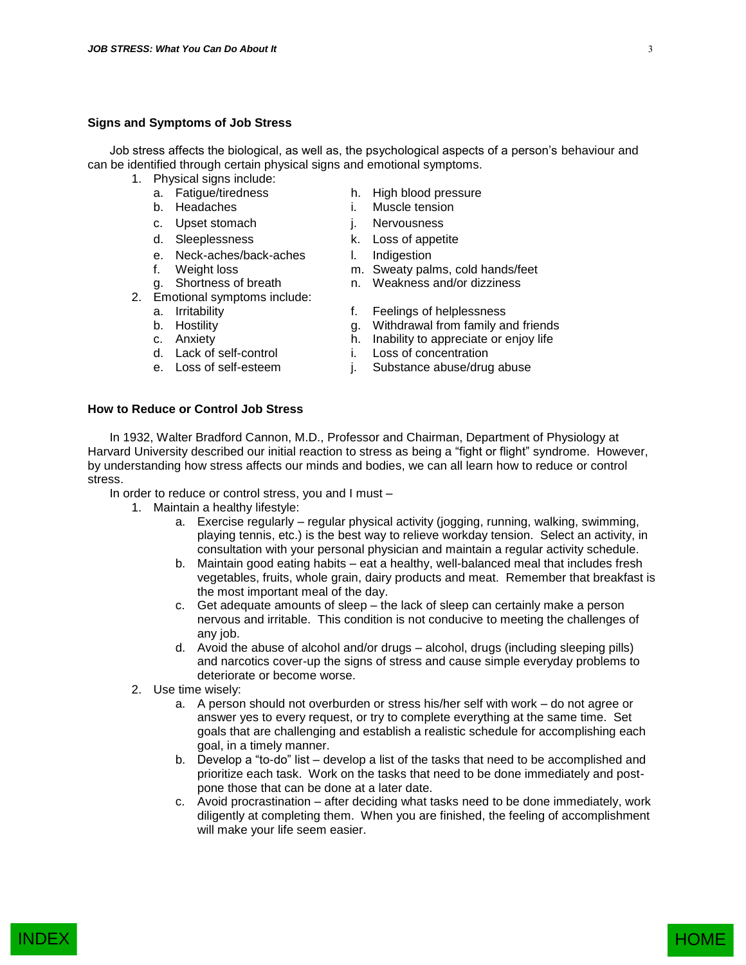#### **Signs and Symptoms of Job Stress**

Job stress affects the biological, as well as, the psychological aspects of a person's behaviour and can be identified through certain physical signs and emotional symptoms.

- 1. Physical signs include:
	-
	-
	-
	-
	- e. Neck-aches/back-aches and l. Indigestion<br>f. Weight loss and m. Sweaty pall
	-
	-
- 2. Emotional symptoms include:
	-
	-
	-
	-
	-
- a. Fatigue/tiredness h. High blood pressure
- b. Headaches i. Muscle tension
- c. Upset stomach i. Nervousness
- d. Sleeplessness k. Loss of appetite
	-
	- m. Sweaty palms, cold hands/feet
- g. Shortness of breath n. Weakness and/or dizziness
- a. Irritability f. Feelings of helplessness
- b. Hostility **g.** Withdrawal from family and friends
- c. Anxiety **h.** Inability to appreciate or enjoy life d. Lack of self-control **h.** Loss of concentration
	- i. Loss of concentration
- e. Loss of self-esteem j. Substance abuse/drug abuse

#### **How to Reduce or Control Job Stress**

In 1932, Walter Bradford Cannon, M.D., Professor and Chairman, Department of Physiology at Harvard University described our initial reaction to stress as being a "fight or flight" syndrome. However, by understanding how stress affects our minds and bodies, we can all learn how to reduce or control stress.

In order to reduce or control stress, you and I must –

- 1. Maintain a healthy lifestyle:
	- a. Exercise regularly regular physical activity (jogging, running, walking, swimming, playing tennis, etc.) is the best way to relieve workday tension. Select an activity, in consultation with your personal physician and maintain a regular activity schedule.
	- b. Maintain good eating habits eat a healthy, well-balanced meal that includes fresh vegetables, fruits, whole grain, dairy products and meat. Remember that breakfast is the most important meal of the day.
	- c. Get adequate amounts of sleep the lack of sleep can certainly make a person nervous and irritable. This condition is not conducive to meeting the challenges of any job.
	- d. Avoid the abuse of alcohol and/or drugs alcohol, drugs (including sleeping pills) and narcotics cover-up the signs of stress and cause simple everyday problems to deteriorate or become worse.
- 2. Use time wisely:
	- a. A person should not overburden or stress his/her self with work do not agree or answer yes to every request, or try to complete everything at the same time. Set goals that are challenging and establish a realistic schedule for accomplishing each goal, in a timely manner.
	- b. Develop a "to-do" list develop a list of the tasks that need to be accomplished and prioritize each task. Work on the tasks that need to be done immediately and postpone those that can be done at a later date.
	- c. Avoid procrastination after deciding what tasks need to be done immediately, work diligently at completing them. When you are finished, the feeling of accomplishment will make your life seem easier.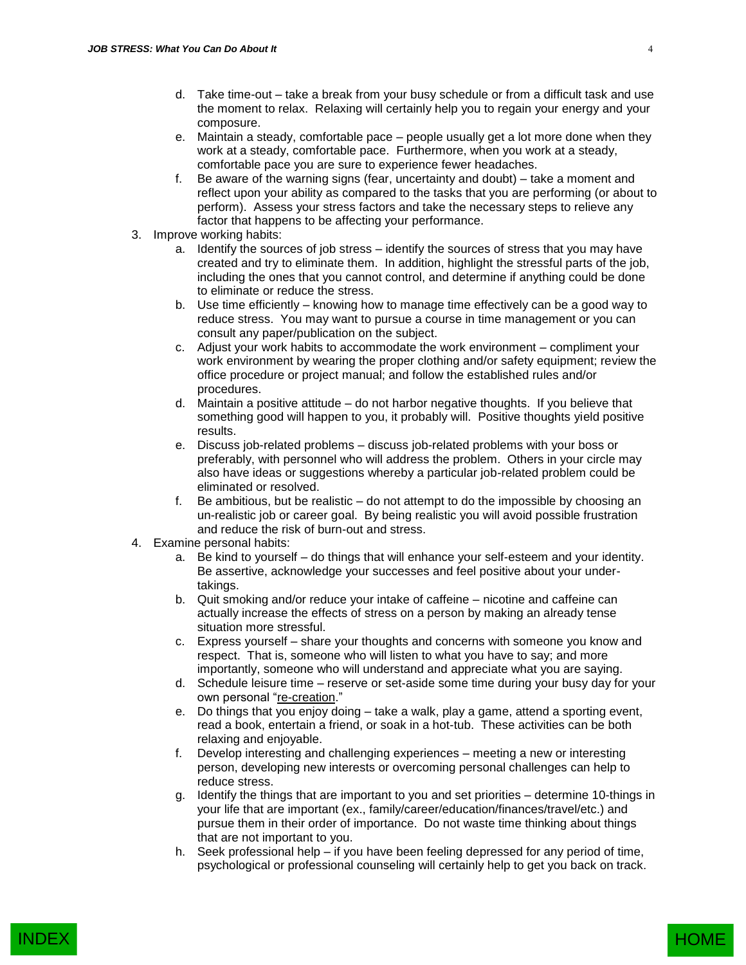- d. Take time-out take a break from your busy schedule or from a difficult task and use the moment to relax. Relaxing will certainly help you to regain your energy and your composure.
- e. Maintain a steady, comfortable pace people usually get a lot more done when they work at a steady, comfortable pace. Furthermore, when you work at a steady, comfortable pace you are sure to experience fewer headaches.
- f. Be aware of the warning signs (fear, uncertainty and doubt) take a moment and reflect upon your ability as compared to the tasks that you are performing (or about to perform). Assess your stress factors and take the necessary steps to relieve any factor that happens to be affecting your performance.
- 3. Improve working habits:
	- a. Identify the sources of job stress identify the sources of stress that you may have created and try to eliminate them. In addition, highlight the stressful parts of the job, including the ones that you cannot control, and determine if anything could be done to eliminate or reduce the stress.
	- b. Use time efficiently knowing how to manage time effectively can be a good way to reduce stress. You may want to pursue a course in time management or you can consult any paper/publication on the subject.
	- c. Adjust your work habits to accommodate the work environment compliment your work environment by wearing the proper clothing and/or safety equipment; review the office procedure or project manual; and follow the established rules and/or procedures.
	- d. Maintain a positive attitude do not harbor negative thoughts. If you believe that something good will happen to you, it probably will. Positive thoughts yield positive results.
	- e. Discuss job-related problems discuss job-related problems with your boss or preferably, with personnel who will address the problem. Others in your circle may also have ideas or suggestions whereby a particular job-related problem could be eliminated or resolved.
	- f. Be ambitious, but be realistic do not attempt to do the impossible by choosing an un-realistic job or career goal. By being realistic you will avoid possible frustration and reduce the risk of burn-out and stress.
- 4. Examine personal habits:
	- a. Be kind to yourself do things that will enhance your self-esteem and your identity. Be assertive, acknowledge your successes and feel positive about your undertakings.
	- b. Quit smoking and/or reduce your intake of caffeine nicotine and caffeine can actually increase the effects of stress on a person by making an already tense situation more stressful.
	- c. Express yourself share your thoughts and concerns with someone you know and respect. That is, someone who will listen to what you have to say; and more importantly, someone who will understand and appreciate what you are saying.
	- d. Schedule leisure time reserve or set-aside some time during your busy day for your own personal "re-creation."
	- e. Do things that you enjoy doing take a walk, play a game, attend a sporting event, read a book, entertain a friend, or soak in a hot-tub. These activities can be both relaxing and enjoyable.
	- f. Develop interesting and challenging experiences meeting a new or interesting person, developing new interests or overcoming personal challenges can help to reduce stress.
	- g. Identify the things that are important to you and set priorities determine 10-things in your life that are important (ex., family/career/education/finances/travel/etc.) and pursue them in their order of importance. Do not waste time thinking about things that are not important to you.
	- h. Seek professional help if you have been feeling depressed for any period of time, psychological or professional counseling will certainly help to get you back on track.